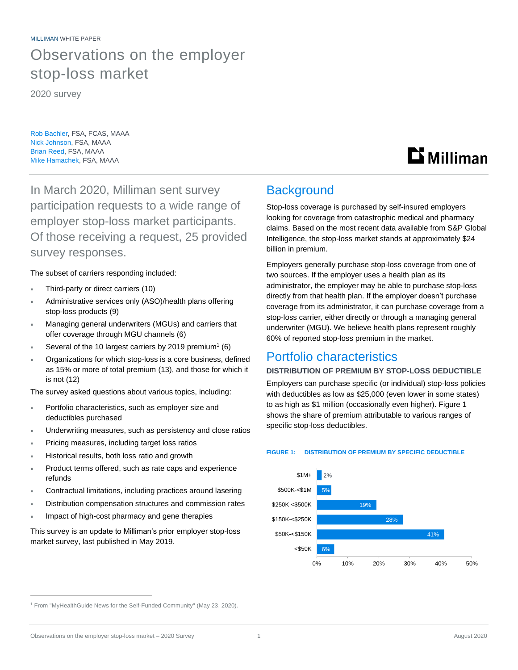MILLIMAN WHITE PAPER Observations on the employer stop-loss market

2020 survey

Rob Bachler, FSA, FCAS, MAAA Nick Johnson, FSA, MAAA Brian Reed, FSA, MAAA Mike Hamachek, FSA, MAAA

In March 2020, Milliman sent survey participation requests to a wide range of employer stop-loss market participants. Of those receiving a request, 25 provided survey responses.

## The subset of carriers responding included:

- Third-party or direct carriers (10)
- Administrative services only (ASO)/health plans offering stop-loss products (9)
- Managing general underwriters (MGUs) and carriers that offer coverage through MGU channels (6)
- Several of the 10 largest carriers by 2019 premium<sup>1</sup> (6)
- Organizations for which stop-loss is a core business, defined as 15% or more of total premium (13), and those for which it is not (12)

The survey asked questions about various topics, including:

- Portfolio characteristics, such as employer size and deductibles purchased
- Underwriting measures, such as persistency and close ratios
- Pricing measures, including target loss ratios
- Historical results, both loss ratio and growth
- Product terms offered, such as rate caps and experience refunds
- Contractual limitations, including practices around lasering
- Distribution compensation structures and commission rates
- Impact of high-cost pharmacy and gene therapies

This survey is an update to Milliman's prior employer stop-loss market survey, last published in May 2019.

## **Background**

Stop-loss coverage is purchased by self-insured employers looking for coverage from catastrophic medical and pharmacy claims. Based on the most recent data available from S&P Global Intelligence, the stop-loss market stands at approximately \$24 billion in premium.

**Li** Milliman

Employers generally purchase stop-loss coverage from one of two sources. If the employer uses a health plan as its administrator, the employer may be able to purchase stop-loss directly from that health plan. If the employer doesn't purchase coverage from its administrator, it can purchase coverage from a stop-loss carrier, either directly or through a managing general underwriter (MGU). We believe health plans represent roughly 60% of reported stop-loss premium in the market.

## Portfolio characteristics

#### **DISTRIBUTION OF PREMIUM BY STOP-LOSS DEDUCTIBLE**

Employers can purchase specific (or individual) stop-loss policies with deductibles as low as \$25,000 (even lower in some states) to as high as \$1 million (occasionally even higher). Figure 1 shows the share of premium attributable to various ranges of specific stop-loss deductibles.

#### **FIGURE 1: DISTRIBUTION OF PREMIUM BY SPECIFIC DEDUCTIBLE**



<sup>&</sup>lt;sup>1</sup> From "MyHealthGuide News for the Self-Funded Community" (May 23, 2020).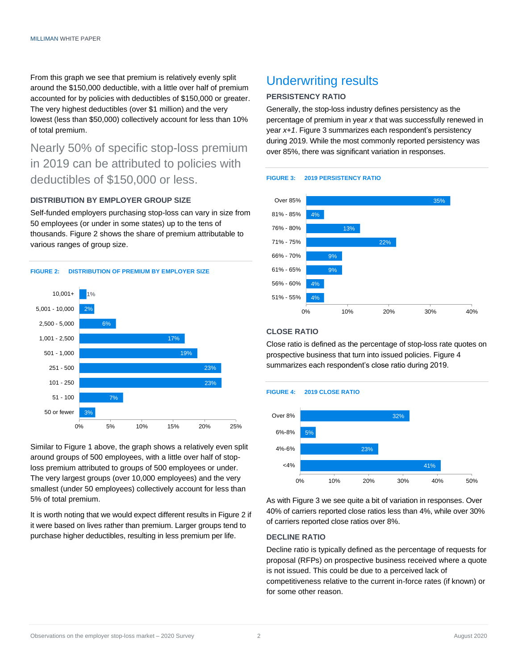From this graph we see that premium is relatively evenly split around the \$150,000 deductible, with a little over half of premium accounted for by policies with deductibles of \$150,000 or greater. The very highest deductibles (over \$1 million) and the very lowest (less than \$50,000) collectively account for less than 10% of total premium.

## Nearly 50% of specific stop-loss premium in 2019 can be attributed to policies with deductibles of \$150,000 or less.

## **DISTRIBUTION BY EMPLOYER GROUP SIZE**

Self-funded employers purchasing stop-loss can vary in size from 50 employees (or under in some states) up to the tens of thousands. Figure 2 shows the share of premium attributable to various ranges of group size.



Similar to Figure 1 above, the graph shows a relatively even split around groups of 500 employees, with a little over half of stoploss premium attributed to groups of 500 employees or under. The very largest groups (over 10,000 employees) and the very smallest (under 50 employees) collectively account for less than 5% of total premium.

It is worth noting that we would expect different results in Figure 2 if it were based on lives rather than premium. Larger groups tend to purchase higher deductibles, resulting in less premium per life.

# Underwriting results

#### **PERSISTENCY RATIO**

Generally, the stop-loss industry defines persistency as the percentage of premium in year *x* that was successfully renewed in year *x+1*. Figure 3 summarizes each respondent's persistency during 2019. While the most commonly reported persistency was over 85%, there was significant variation in responses.





## **CLOSE RATIO**

Close ratio is defined as the percentage of stop-loss rate quotes on prospective business that turn into issued policies. Figure 4 summarizes each respondent's close ratio during 2019.

#### **FIGURE 4: 2019 CLOSE RATIO**



As with Figure 3 we see quite a bit of variation in responses. Over 40% of carriers reported close ratios less than 4%, while over 30% of carriers reported close ratios over 8%.

#### **DECLINE RATIO**

Decline ratio is typically defined as the percentage of requests for proposal (RFPs) on prospective business received where a quote is not issued. This could be due to a perceived lack of competitiveness relative to the current in-force rates (if known) or for some other reason.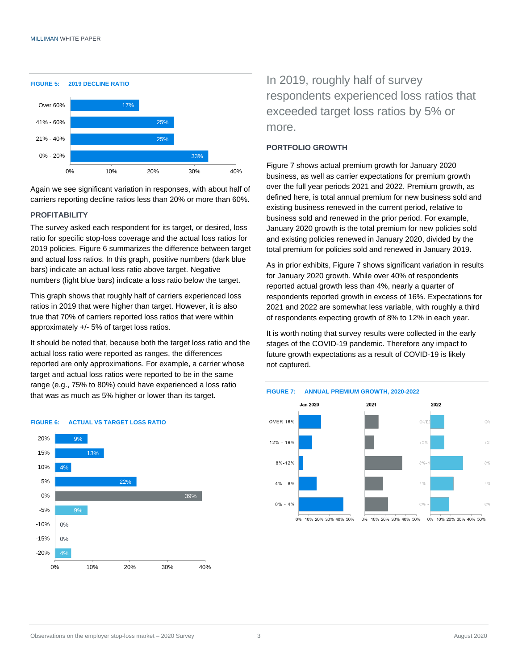

Again we see significant variation in responses, with about half of carriers reporting decline ratios less than 20% or more than 60%.

#### **PROFITABILITY**

The survey asked each respondent for its target, or desired, loss ratio for specific stop-loss coverage and the actual loss ratios for 2019 policies. Figure 6 summarizes the difference between target and actual loss ratios. In this graph, positive numbers (dark blue bars) indicate an actual loss ratio above target. Negative numbers (light blue bars) indicate a loss ratio below the target.

This graph shows that roughly half of carriers experienced loss ratios in 2019 that were higher than target. However, it is also true that 70% of carriers reported loss ratios that were within approximately +/- 5% of target loss ratios.

It should be noted that, because both the target loss ratio and the actual loss ratio were reported as ranges, the differences reported are only approximations. For example, a carrier whose target and actual loss ratios were reported to be in the same range (e.g., 75% to 80%) could have experienced a loss ratio that was as much as 5% higher or lower than its target.



## In 2019, roughly half of survey respondents experienced loss ratios that exceeded target loss ratios by 5% or more.

#### **PORTFOLIO GROWTH**

Figure 7 shows actual premium growth for January 2020 business, as well as carrier expectations for premium growth over the full year periods 2021 and 2022. Premium growth, as defined here, is total annual premium for new business sold and existing business renewed in the current period, relative to business sold and renewed in the prior period. For example, January 2020 growth is the total premium for new policies sold and existing policies renewed in January 2020, divided by the total premium for policies sold and renewed in January 2019.

As in prior exhibits, Figure 7 shows significant variation in results for January 2020 growth. While over 40% of respondents reported actual growth less than 4%, nearly a quarter of respondents reported growth in excess of 16%. Expectations for 2021 and 2022 are somewhat less variable, with roughly a third of respondents expecting growth of 8% to 12% in each year.

It is worth noting that survey results were collected in the early stages of the COVID-19 pandemic. Therefore any impact to future growth expectations as a result of COVID-19 is likely not captured.



## **FIGURE 7: ANNUAL PREMIUM GROWTH, 2020-2022**